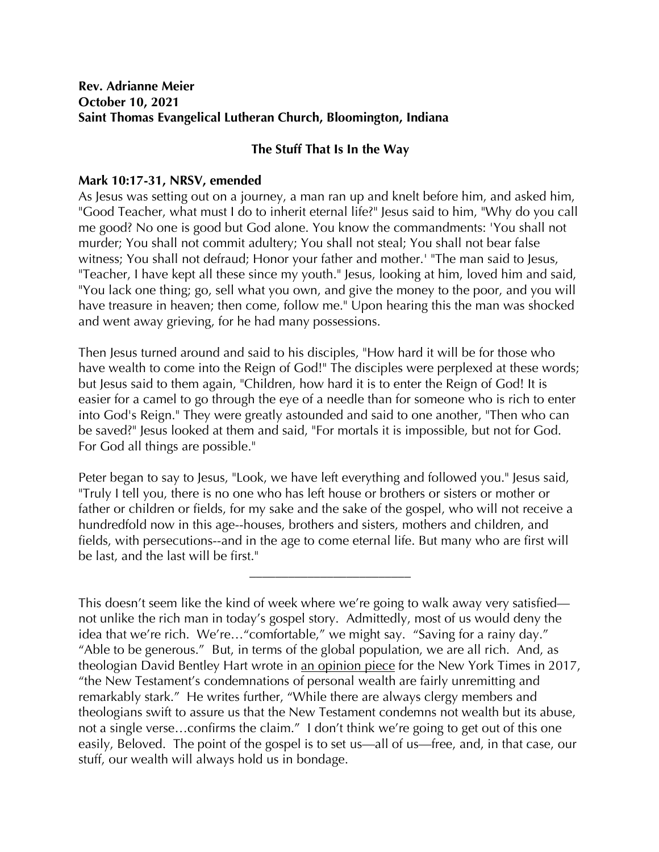## **Rev. Adrianne Meier October 10, 2021 Saint Thomas Evangelical Lutheran Church, Bloomington, Indiana**

## **The Stuff That Is In the Way**

## **Mark 10:17-31, NRSV, emended**

As Jesus was setting out on a journey, a man ran up and knelt before him, and asked him, "Good Teacher, what must I do to inherit eternal life?" Jesus said to him, "Why do you call me good? No one is good but God alone. You know the commandments: 'You shall not murder; You shall not commit adultery; You shall not steal; You shall not bear false witness; You shall not defraud; Honor your father and mother.' "The man said to Jesus, "Teacher, I have kept all these since my youth." Jesus, looking at him, loved him and said, "You lack one thing; go, sell what you own, and give the money to the poor, and you will have treasure in heaven; then come, follow me." Upon hearing this the man was shocked and went away grieving, for he had many possessions.

Then Jesus turned around and said to his disciples, "How hard it will be for those who have wealth to come into the Reign of God!" The disciples were perplexed at these words; but Jesus said to them again, "Children, how hard it is to enter the Reign of God! It is easier for a camel to go through the eye of a needle than for someone who is rich to enter into God's Reign." They were greatly astounded and said to one another, "Then who can be saved?" Jesus looked at them and said, "For mortals it is impossible, but not for God. For God all things are possible."

Peter began to say to Jesus, "Look, we have left everything and followed you." Jesus said, "Truly I tell you, there is no one who has left house or brothers or sisters or mother or father or children or fields, for my sake and the sake of the gospel, who will not receive a hundredfold now in this age--houses, brothers and sisters, mothers and children, and fields, with persecutions--and in the age to come eternal life. But many who are first will be last, and the last will be first."

**\_\_\_\_\_\_\_\_\_\_\_\_\_\_\_\_\_\_\_\_\_\_\_\_\_**

This doesn't seem like the kind of week where we're going to walk away very satisfied not unlike the rich man in today's gospel story. Admittedly, most of us would deny the idea that we're rich. We're…"comfortable," we might say. "Saving for a rainy day." "Able to be generous." But, in terms of the global population, we are all rich. And, as theologian David Bentley Hart wrote in an opinion piece for the New York Times in 2017, "the New Testament's condemnations of personal wealth are fairly unremitting and remarkably stark." He writes further, "While there are always clergy members and theologians swift to assure us that the New Testament condemns not wealth but its abuse, not a single verse…confirms the claim." I don't think we're going to get out of this one easily, Beloved. The point of the gospel is to set us—all of us—free, and, in that case, our stuff, our wealth will always hold us in bondage.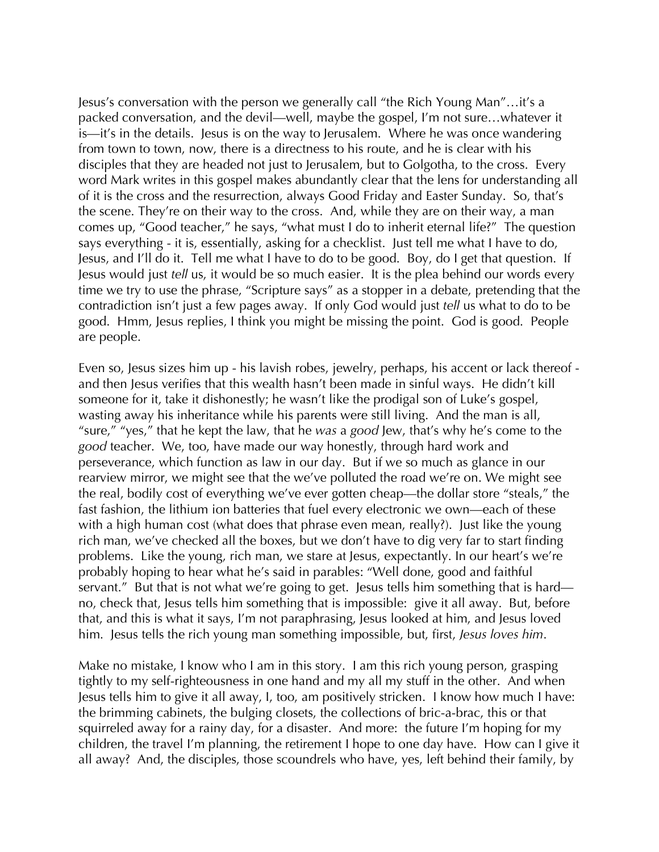Jesus's conversation with the person we generally call "the Rich Young Man"…it's a packed conversation, and the devil—well, maybe the gospel, I'm not sure…whatever it is—it's in the details. Jesus is on the way to Jerusalem. Where he was once wandering from town to town, now, there is a directness to his route, and he is clear with his disciples that they are headed not just to Jerusalem, but to Golgotha, to the cross. Every word Mark writes in this gospel makes abundantly clear that the lens for understanding all of it is the cross and the resurrection, always Good Friday and Easter Sunday. So, that's the scene. They're on their way to the cross. And, while they are on their way, a man comes up, "Good teacher," he says, "what must I do to inherit eternal life?" The question says everything - it is, essentially, asking for a checklist. Just tell me what I have to do, Jesus, and I'll do it. Tell me what I have to do to be good. Boy, do I get that question. If Jesus would just *tell* us, it would be so much easier. It is the plea behind our words every time we try to use the phrase, "Scripture says" as a stopper in a debate, pretending that the contradiction isn't just a few pages away. If only God would just *tell* us what to do to be good. Hmm, Jesus replies, I think you might be missing the point. God is good. People are people.

Even so, Jesus sizes him up - his lavish robes, jewelry, perhaps, his accent or lack thereof and then Jesus verifies that this wealth hasn't been made in sinful ways. He didn't kill someone for it, take it dishonestly; he wasn't like the prodigal son of Luke's gospel, wasting away his inheritance while his parents were still living. And the man is all, "sure," "yes," that he kept the law, that he *was* a *good* Jew, that's why he's come to the *good* teacher. We, too, have made our way honestly, through hard work and perseverance, which function as law in our day. But if we so much as glance in our rearview mirror, we might see that the we've polluted the road we're on. We might see the real, bodily cost of everything we've ever gotten cheap—the dollar store "steals," the fast fashion, the lithium ion batteries that fuel every electronic we own—each of these with a high human cost (what does that phrase even mean, really?). Just like the young rich man, we've checked all the boxes, but we don't have to dig very far to start finding problems. Like the young, rich man, we stare at Jesus, expectantly. In our heart's we're probably hoping to hear what he's said in parables: "Well done, good and faithful servant." But that is not what we're going to get. Jesus tells him something that is hard no, check that, Jesus tells him something that is impossible: give it all away. But, before that, and this is what it says, I'm not paraphrasing, Jesus looked at him, and Jesus loved him. Jesus tells the rich young man something impossible, but, first, *Jesus loves him*.

Make no mistake, I know who I am in this story. I am this rich young person, grasping tightly to my self-righteousness in one hand and my all my stuff in the other. And when Jesus tells him to give it all away, I, too, am positively stricken. I know how much I have: the brimming cabinets, the bulging closets, the collections of bric-a-brac, this or that squirreled away for a rainy day, for a disaster. And more: the future I'm hoping for my children, the travel I'm planning, the retirement I hope to one day have. How can I give it all away? And, the disciples, those scoundrels who have, yes, left behind their family, by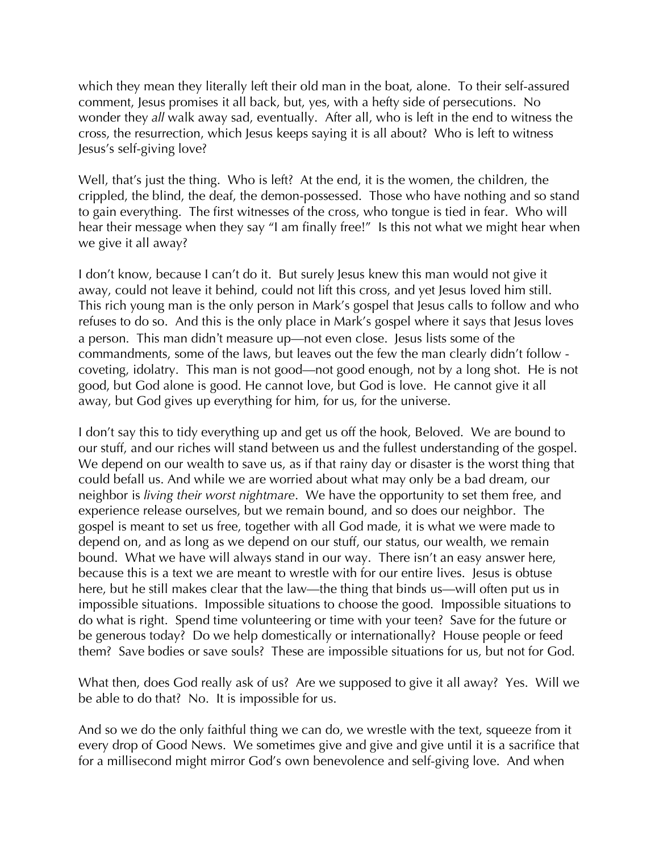which they mean they literally left their old man in the boat, alone. To their self-assured comment, Jesus promises it all back, but, yes, with a hefty side of persecutions. No wonder they *all* walk away sad, eventually. After all, who is left in the end to witness the cross, the resurrection, which Jesus keeps saying it is all about? Who is left to witness Jesus's self-giving love?

Well, that's just the thing. Who is left? At the end, it is the women, the children, the crippled, the blind, the deaf, the demon-possessed. Those who have nothing and so stand to gain everything. The first witnesses of the cross, who tongue is tied in fear. Who will hear their message when they say "I am finally free!" Is this not what we might hear when we give it all away?

I don't know, because I can't do it. But surely Jesus knew this man would not give it away, could not leave it behind, could not lift this cross, and yet Jesus loved him still. This rich young man is the only person in Mark's gospel that Jesus calls to follow and who refuses to do so. And this is the only place in Mark's gospel where it says that Jesus loves a person. This man didn't measure up—not even close. Jesus lists some of the commandments, some of the laws, but leaves out the few the man clearly didn't follow coveting, idolatry. This man is not good—not good enough, not by a long shot. He is not good, but God alone is good. He cannot love, but God is love. He cannot give it all away, but God gives up everything for him, for us, for the universe.

I don't say this to tidy everything up and get us off the hook, Beloved. We are bound to our stuff, and our riches will stand between us and the fullest understanding of the gospel. We depend on our wealth to save us, as if that rainy day or disaster is the worst thing that could befall us. And while we are worried about what may only be a bad dream, our neighbor is *living their worst nightmare*. We have the opportunity to set them free, and experience release ourselves, but we remain bound, and so does our neighbor. The gospel is meant to set us free, together with all God made, it is what we were made to depend on, and as long as we depend on our stuff, our status, our wealth, we remain bound. What we have will always stand in our way. There isn't an easy answer here, because this is a text we are meant to wrestle with for our entire lives. Jesus is obtuse here, but he still makes clear that the law—the thing that binds us—will often put us in impossible situations. Impossible situations to choose the good. Impossible situations to do what is right. Spend time volunteering or time with your teen? Save for the future or be generous today? Do we help domestically or internationally? House people or feed them? Save bodies or save souls? These are impossible situations for us, but not for God.

What then, does God really ask of us? Are we supposed to give it all away? Yes. Will we be able to do that? No. It is impossible for us.

And so we do the only faithful thing we can do, we wrestle with the text, squeeze from it every drop of Good News. We sometimes give and give and give until it is a sacrifice that for a millisecond might mirror God's own benevolence and self-giving love. And when